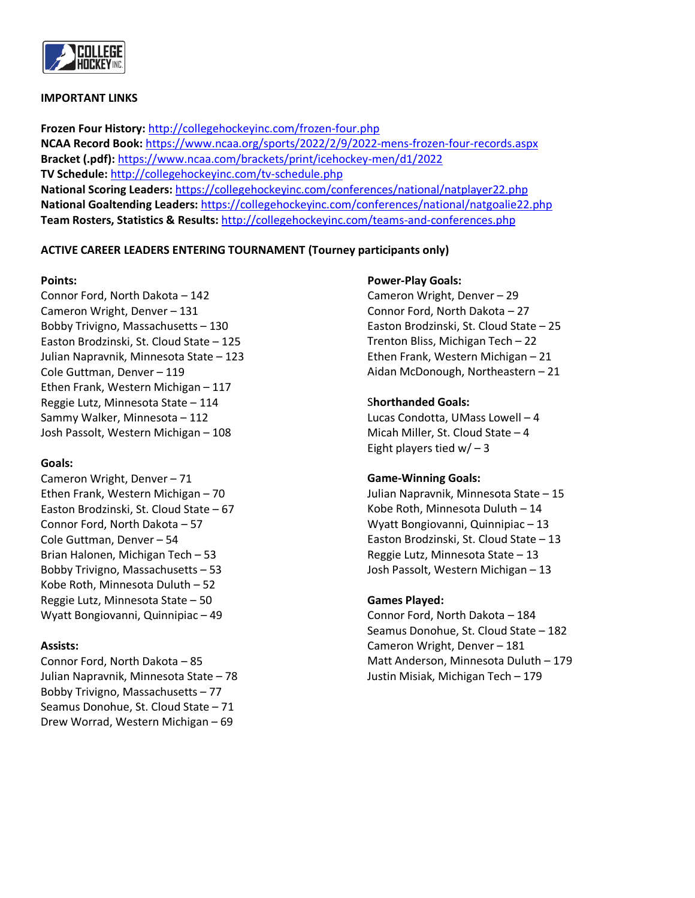

#### **IMPORTANT LINKS**

**Frozen Four History:** <http://collegehockeyinc.com/frozen-four.php> **NCAA Record Book:** <https://www.ncaa.org/sports/2022/2/9/2022-mens-frozen-four-records.aspx> **Bracket (.pdf):** <https://www.ncaa.com/brackets/print/icehockey-men/d1/2022> **TV Schedule:** <http://collegehockeyinc.com/tv-schedule.php> **National Scoring Leaders:** <https://collegehockeyinc.com/conferences/national/natplayer22.php> **National Goaltending Leaders:** <https://collegehockeyinc.com/conferences/national/natgoalie22.php> **Team Rosters, Statistics & Results:** <http://collegehockeyinc.com/teams-and-conferences.php>

## **ACTIVE CAREER LEADERS ENTERING TOURNAMENT (Tourney participants only)**

#### **Points:**

Connor Ford, North Dakota – 142 Cameron Wright, Denver – 131 Bobby Trivigno, Massachusetts – 130 Easton Brodzinski, St. Cloud State – 125 Julian Napravnik, Minnesota State – 123 Cole Guttman, Denver – 119 Ethen Frank, Western Michigan – 117 Reggie Lutz, Minnesota State – 114 Sammy Walker, Minnesota – 112 Josh Passolt, Western Michigan – 108

#### **Goals:**

Cameron Wright, Denver – 71 Ethen Frank, Western Michigan – 70 Easton Brodzinski, St. Cloud State – 67 Connor Ford, North Dakota – 57 Cole Guttman, Denver – 54 Brian Halonen, Michigan Tech – 53 Bobby Trivigno, Massachusetts – 53 Kobe Roth, Minnesota Duluth – 52 Reggie Lutz, Minnesota State – 50 Wyatt Bongiovanni, Quinnipiac – 49

## **Assists:**

Connor Ford, North Dakota – 85 Julian Napravnik, Minnesota State – 78 Bobby Trivigno, Massachusetts – 77 Seamus Donohue, St. Cloud State – 71 Drew Worrad, Western Michigan – 69

#### **Power-Play Goals:**

Cameron Wright, Denver – 29 Connor Ford, North Dakota – 27 Easton Brodzinski, St. Cloud State – 25 Trenton Bliss, Michigan Tech – 22 Ethen Frank, Western Michigan – 21 Aidan McDonough, Northeastern – 21

#### S**horthanded Goals:**

Lucas Condotta, UMass Lowell – 4 Micah Miller, St. Cloud State – 4 Eight players tied  $w/ - 3$ 

#### **Game-Winning Goals:**

Julian Napravnik, Minnesota State – 15 Kobe Roth, Minnesota Duluth – 14 Wyatt Bongiovanni, Quinnipiac – 13 Easton Brodzinski, St. Cloud State – 13 Reggie Lutz, Minnesota State – 13 Josh Passolt, Western Michigan – 13

## **Games Played:**

Connor Ford, North Dakota – 184 Seamus Donohue, St. Cloud State – 182 Cameron Wright, Denver – 181 Matt Anderson, Minnesota Duluth – 179 Justin Misiak, Michigan Tech – 179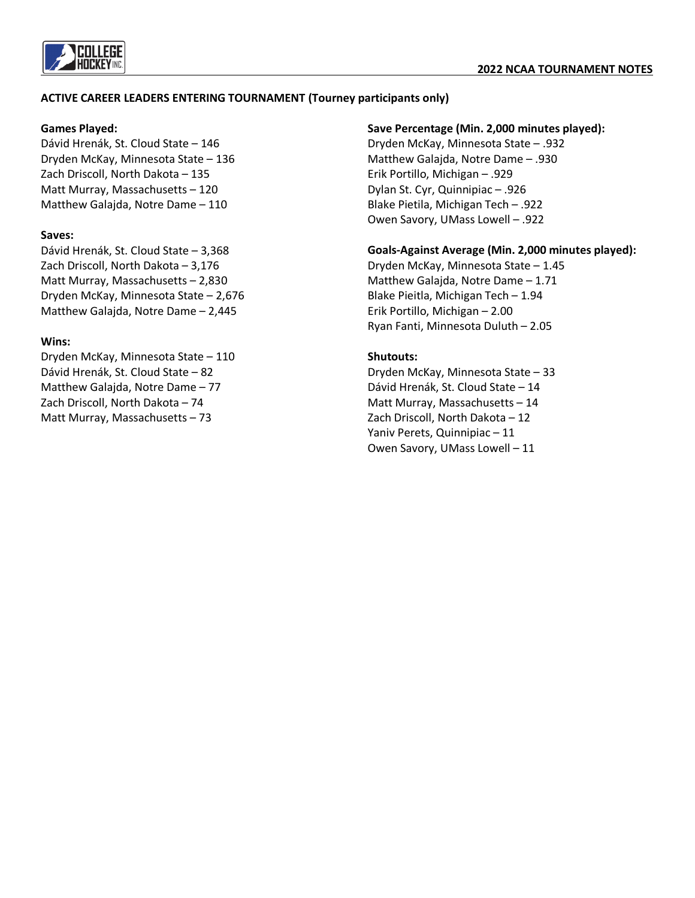

## **ACTIVE CAREER LEADERS ENTERING TOURNAMENT (Tourney participants only)**

## **Games Played:**

Dávid Hrenák, St. Cloud State – 146 Dryden McKay, Minnesota State – 136 Zach Driscoll, North Dakota – 135 Matt Murray, Massachusetts – 120 Matthew Galajda, Notre Dame – 110

## **Saves:**

Dávid Hrenák, St. Cloud State – 3,368 Zach Driscoll, North Dakota – 3,176 Matt Murray, Massachusetts – 2,830 Dryden McKay, Minnesota State – 2,676 Matthew Galajda, Notre Dame – 2,445

## **Wins:**

Dryden McKay, Minnesota State – 110 Dávid Hrenák, St. Cloud State – 82 Matthew Galajda, Notre Dame – 77 Zach Driscoll, North Dakota – 74 Matt Murray, Massachusetts – 73

## **Save Percentage (Min. 2,000 minutes played):**

Dryden McKay, Minnesota State – .932 Matthew Galajda, Notre Dame – .930 Erik Portillo, Michigan – .929 Dylan St. Cyr, Quinnipiac – .926 Blake Pietila, Michigan Tech – .922 Owen Savory, UMass Lowell – .922

## **Goals-Against Average (Min. 2,000 minutes played):**

Dryden McKay, Minnesota State – 1.45 Matthew Galajda, Notre Dame – 1.71 Blake Pieitla, Michigan Tech – 1.94 Erik Portillo, Michigan – 2.00 Ryan Fanti, Minnesota Duluth – 2.05

## **Shutouts:**

Dryden McKay, Minnesota State – 33 Dávid Hrenák, St. Cloud State – 14 Matt Murray, Massachusetts – 14 Zach Driscoll, North Dakota – 12 Yaniv Perets, Quinnipiac – 11 Owen Savory, UMass Lowell – 11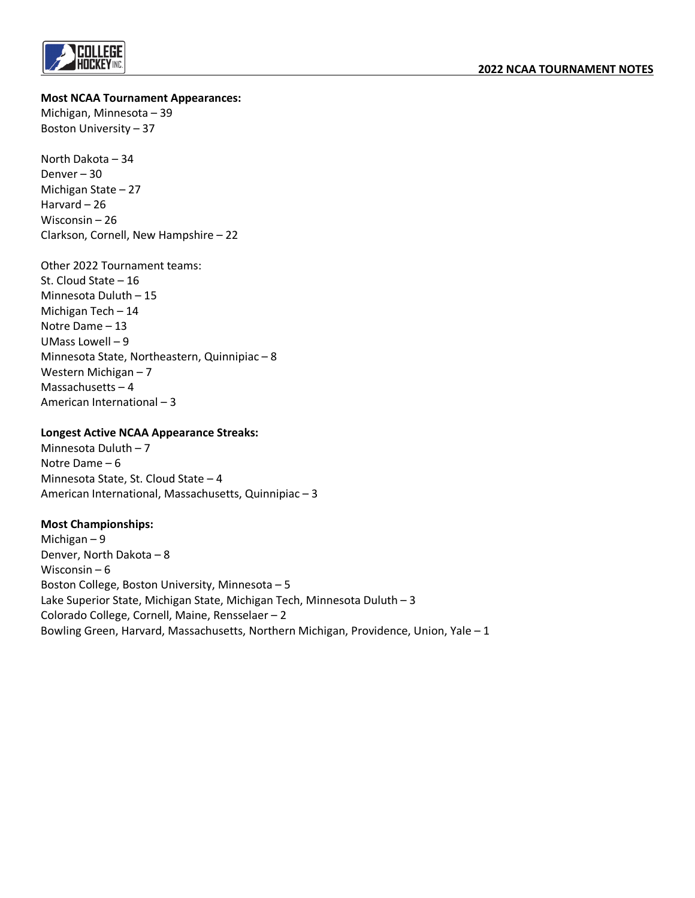

**Most NCAA Tournament Appearances:**

Michigan, Minnesota – 39 Boston University – 37

North Dakota – 34 Denver – 30 Michigan State – 27 Harvard – 26 Wisconsin – 26 Clarkson, Cornell, New Hampshire – 22

Other 2022 Tournament teams: St. Cloud State – 16 Minnesota Duluth – 15 Michigan Tech – 14 Notre Dame – 13 UMass Lowell – 9 Minnesota State, Northeastern, Quinnipiac – 8 Western Michigan – 7 Massachusetts – 4 American International – 3

## **Longest Active NCAA Appearance Streaks:**

Minnesota Duluth – 7 Notre Dame – 6 Minnesota State, St. Cloud State – 4 American International, Massachusetts, Quinnipiac – 3

## **Most Championships:**

Michigan – 9 Denver, North Dakota – 8 Wisconsin – 6 Boston College, Boston University, Minnesota – 5 Lake Superior State, Michigan State, Michigan Tech, Minnesota Duluth – 3 Colorado College, Cornell, Maine, Rensselaer – 2 Bowling Green, Harvard, Massachusetts, Northern Michigan, Providence, Union, Yale – 1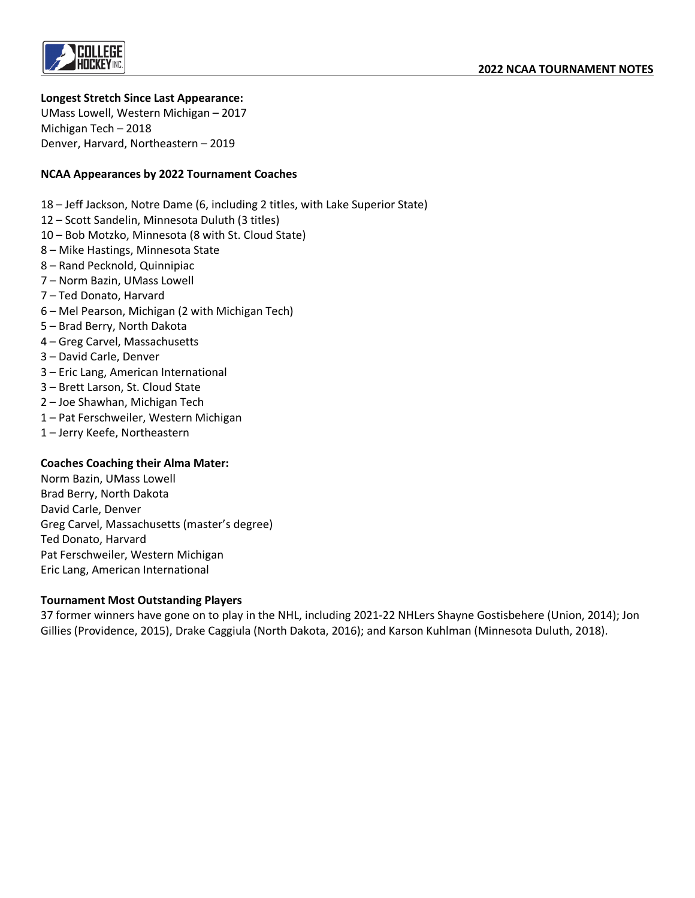

## **Longest Stretch Since Last Appearance:**

UMass Lowell, Western Michigan – 2017 Michigan Tech – 2018 Denver, Harvard, Northeastern – 2019

## **NCAA Appearances by 2022 Tournament Coaches**

18 – Jeff Jackson, Notre Dame (6, including 2 titles, with Lake Superior State)

- 12 Scott Sandelin, Minnesota Duluth (3 titles)
- 10 Bob Motzko, Minnesota (8 with St. Cloud State)
- 8 Mike Hastings, Minnesota State
- 8 Rand Pecknold, Quinnipiac
- 7 Norm Bazin, UMass Lowell
- 7 Ted Donato, Harvard
- 6 Mel Pearson, Michigan (2 with Michigan Tech)
- 5 Brad Berry, North Dakota
- 4 Greg Carvel, Massachusetts
- 3 David Carle, Denver
- 3 Eric Lang, American International
- 3 Brett Larson, St. Cloud State
- 2 Joe Shawhan, Michigan Tech
- 1 Pat Ferschweiler, Western Michigan
- 1 Jerry Keefe, Northeastern

## **Coaches Coaching their Alma Mater:**

Norm Bazin, UMass Lowell Brad Berry, North Dakota David Carle, Denver Greg Carvel, Massachusetts (master's degree) Ted Donato, Harvard Pat Ferschweiler, Western Michigan Eric Lang, American International

#### **Tournament Most Outstanding Players**

37 former winners have gone on to play in the NHL, including 2021-22 NHLers Shayne Gostisbehere (Union, 2014); Jon Gillies (Providence, 2015), Drake Caggiula (North Dakota, 2016); and Karson Kuhlman (Minnesota Duluth, 2018).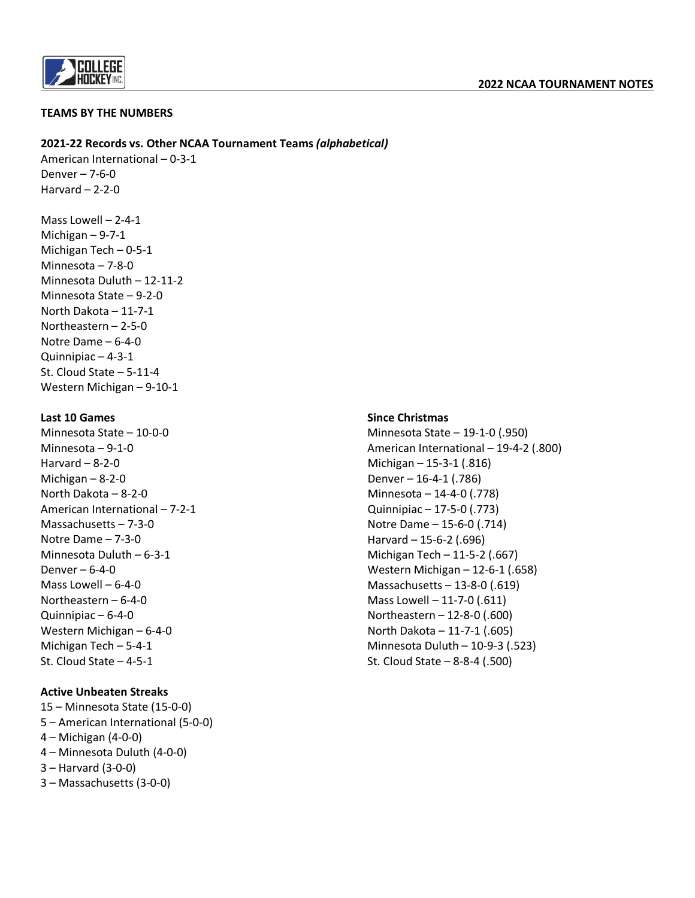

#### **TEAMS BY THE NUMBERS**

#### **2021-22 Records vs. Other NCAA Tournament Teams** *(alphabetical)*

American International – 0-3-1 Denver – 7-6-0 Harvard – 2-2-0

Mass Lowell – 2-4-1 Michigan – 9-7-1 Michigan Tech – 0-5-1 Minnesota – 7-8-0 Minnesota Duluth – 12-11-2 Minnesota State – 9-2-0 North Dakota – 11-7-1 Northeastern – 2-5-0 Notre Dame – 6-4-0 Quinnipiac – 4-3-1 St. Cloud State – 5-11-4 Western Michigan – 9-10-1

#### **Last 10 Games**

Minnesota State – 10-0-0 Minnesota – 9-1-0 Harvard – 8-2-0 Michigan – 8-2-0 North Dakota – 8-2-0 American International – 7-2-1 Massachusetts – 7-3-0 Notre Dame – 7-3-0 Minnesota Duluth – 6-3-1 Denver – 6-4-0 Mass Lowell – 6-4-0 Northeastern – 6-4-0 Quinnipiac – 6-4-0 Western Michigan – 6-4-0 Michigan Tech – 5-4-1 St. Cloud State – 4-5-1

## **Active Unbeaten Streaks**

15 – Minnesota State (15-0-0) 5 – American International (5-0-0) 4 – Michigan (4-0-0) 4 – Minnesota Duluth (4-0-0) 3 – Harvard (3-0-0) 3 – Massachusetts (3-0-0)

## **Since Christmas**

Minnesota State – 19-1-0 (.950) American International – 19-4-2 (.800) Michigan – 15-3-1 (.816) Denver – 16-4-1 (.786) Minnesota – 14-4-0 (.778) Quinnipiac – 17-5-0 (.773) Notre Dame – 15-6-0 (.714) Harvard – 15-6-2 (.696) Michigan Tech – 11-5-2 (.667) Western Michigan – 12-6-1 (.658) Massachusetts – 13-8-0 (.619) Mass Lowell – 11-7-0 (.611) Northeastern – 12-8-0 (.600) North Dakota – 11-7-1 (.605) Minnesota Duluth – 10-9-3 (.523) St. Cloud State – 8-8-4 (.500)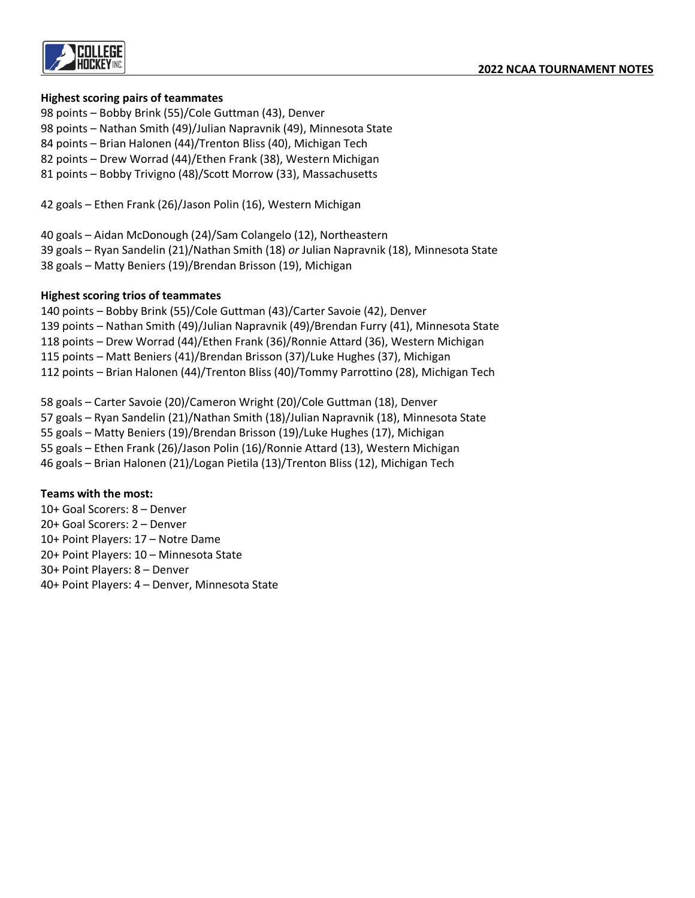

## **Highest scoring pairs of teammates**

- 98 points Bobby Brink (55)/Cole Guttman (43), Denver
- 98 points Nathan Smith (49)/Julian Napravnik (49), Minnesota State
- 84 points Brian Halonen (44)/Trenton Bliss (40), Michigan Tech
- 82 points Drew Worrad (44)/Ethen Frank (38), Western Michigan
- 81 points Bobby Trivigno (48)/Scott Morrow (33), Massachusetts
- 42 goals Ethen Frank (26)/Jason Polin (16), Western Michigan

40 goals – Aidan McDonough (24)/Sam Colangelo (12), Northeastern 39 goals – Ryan Sandelin (21)/Nathan Smith (18) *or* Julian Napravnik (18), Minnesota State 38 goals – Matty Beniers (19)/Brendan Brisson (19), Michigan

## **Highest scoring trios of teammates**

140 points – Bobby Brink (55)/Cole Guttman (43)/Carter Savoie (42), Denver 139 points – Nathan Smith (49)/Julian Napravnik (49)/Brendan Furry (41), Minnesota State 118 points – Drew Worrad (44)/Ethen Frank (36)/Ronnie Attard (36), Western Michigan 115 points – Matt Beniers (41)/Brendan Brisson (37)/Luke Hughes (37), Michigan 112 points – Brian Halonen (44)/Trenton Bliss (40)/Tommy Parrottino (28), Michigan Tech

58 goals – Carter Savoie (20)/Cameron Wright (20)/Cole Guttman (18), Denver 57 goals – Ryan Sandelin (21)/Nathan Smith (18)/Julian Napravnik (18), Minnesota State 55 goals – Matty Beniers (19)/Brendan Brisson (19)/Luke Hughes (17), Michigan 55 goals – Ethen Frank (26)/Jason Polin (16)/Ronnie Attard (13), Western Michigan 46 goals – Brian Halonen (21)/Logan Pietila (13)/Trenton Bliss (12), Michigan Tech

## **Teams with the most:**

10+ Goal Scorers: 8 – Denver 20+ Goal Scorers: 2 – Denver 10+ Point Players: 17 – Notre Dame 20+ Point Players: 10 – Minnesota State 30+ Point Players: 8 – Denver 40+ Point Players: 4 – Denver, Minnesota State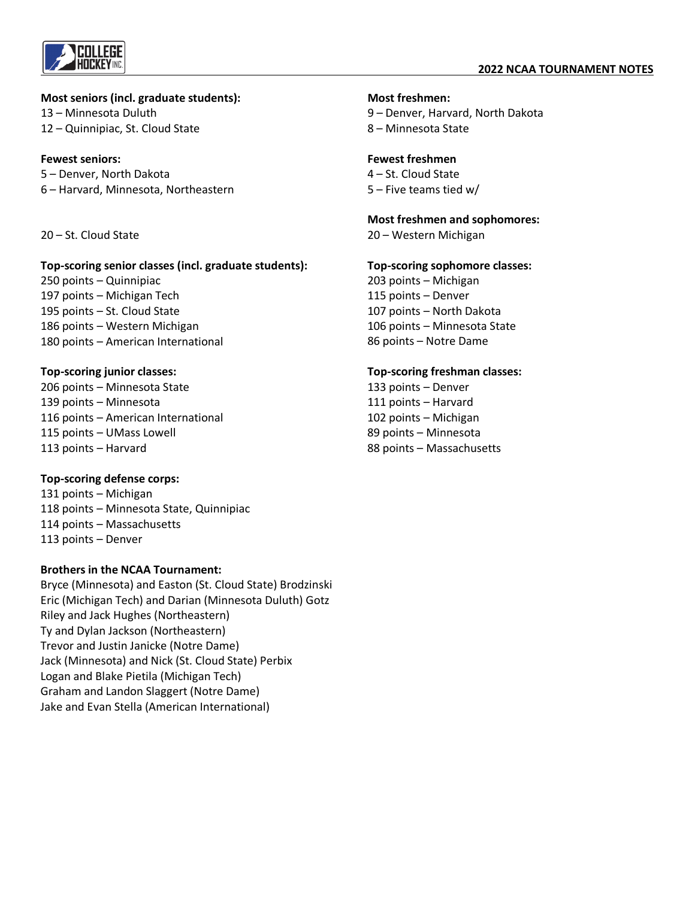

#### **Most seniors (incl. graduate students):**

13 – Minnesota Duluth 12 – Quinnipiac, St. Cloud State

## **Fewest seniors:**

5 – Denver, North Dakota 6 – Harvard, Minnesota, Northeastern

20 – St. Cloud State

#### **Top-scoring senior classes (incl. graduate students):**

250 points – Quinnipiac 197 points – Michigan Tech 195 points – St. Cloud State 186 points – Western Michigan 180 points – American International

## **Top-scoring junior classes:**

206 points – Minnesota State 139 points – Minnesota 116 points – American International 115 points – UMass Lowell 113 points – Harvard

## **Top-scoring defense corps:**

131 points – Michigan 118 points – Minnesota State, Quinnipiac 114 points – Massachusetts 113 points – Denver

## **Brothers in the NCAA Tournament:**

Bryce (Minnesota) and Easton (St. Cloud State) Brodzinski Eric (Michigan Tech) and Darian (Minnesota Duluth) Gotz Riley and Jack Hughes (Northeastern) Ty and Dylan Jackson (Northeastern) Trevor and Justin Janicke (Notre Dame) Jack (Minnesota) and Nick (St. Cloud State) Perbix Logan and Blake Pietila (Michigan Tech) Graham and Landon Slaggert (Notre Dame) Jake and Evan Stella (American International)

#### **Most freshmen:**

9 – Denver, Harvard, North Dakota 8 – Minnesota State

#### **Fewest freshmen**

4 – St. Cloud State 5 – Five teams tied w/

#### **Most freshmen and sophomores:**

20 – Western Michigan

#### **Top-scoring sophomore classes:**

203 points – Michigan 115 points – Denver 107 points – North Dakota 106 points – Minnesota State 86 points – Notre Dame

## **Top-scoring freshman classes:**

133 points – Denver 111 points – Harvard 102 points – Michigan 89 points – Minnesota 88 points – Massachusetts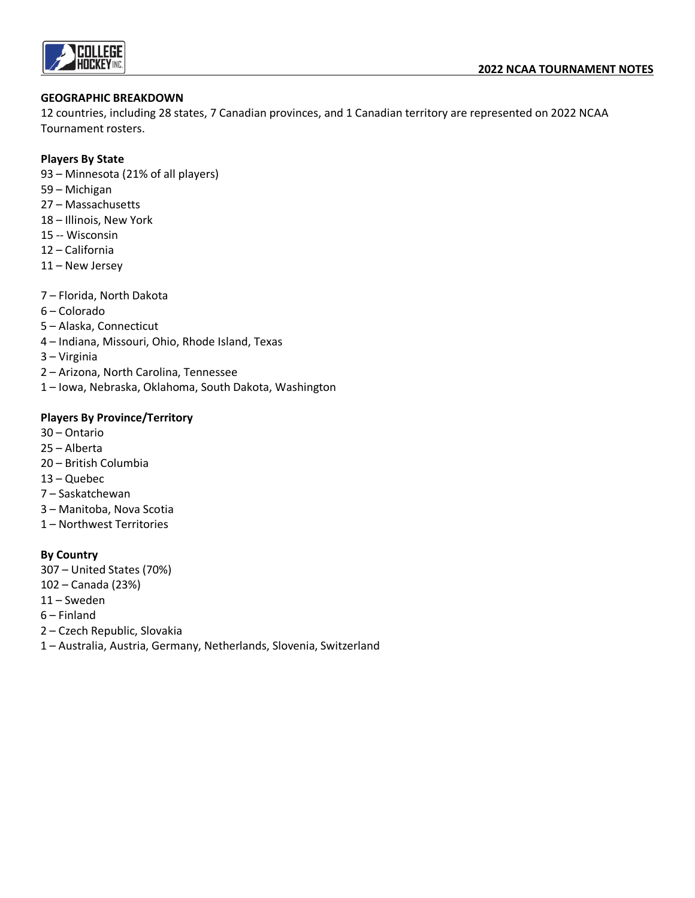

## **GEOGRAPHIC BREAKDOWN**

12 countries, including 28 states, 7 Canadian provinces, and 1 Canadian territory are represented on 2022 NCAA Tournament rosters.

## **Players By State**

- 93 Minnesota (21% of all players)
- 59 Michigan
- 27 Massachusetts
- 18 Illinois, New York
- 15 -- Wisconsin
- 12 California
- 11 New Jersey
- 7 Florida, North Dakota
- 6 Colorado
- 5 Alaska, Connecticut
- 4 Indiana, Missouri, Ohio, Rhode Island, Texas
- 3 Virginia
- 2 Arizona, North Carolina, Tennessee
- 1 Iowa, Nebraska, Oklahoma, South Dakota, Washington

## **Players By Province/Territory**

- 30 Ontario
- 25 Alberta
- 20 British Columbia
- 13 Quebec
- 7 Saskatchewan
- 3 Manitoba, Nova Scotia
- 1 Northwest Territories

## **By Country**

- 307 United States (70%)
- 102 Canada (23%)
- 11 Sweden
- 6 Finland
- 2 Czech Republic, Slovakia
- 1 Australia, Austria, Germany, Netherlands, Slovenia, Switzerland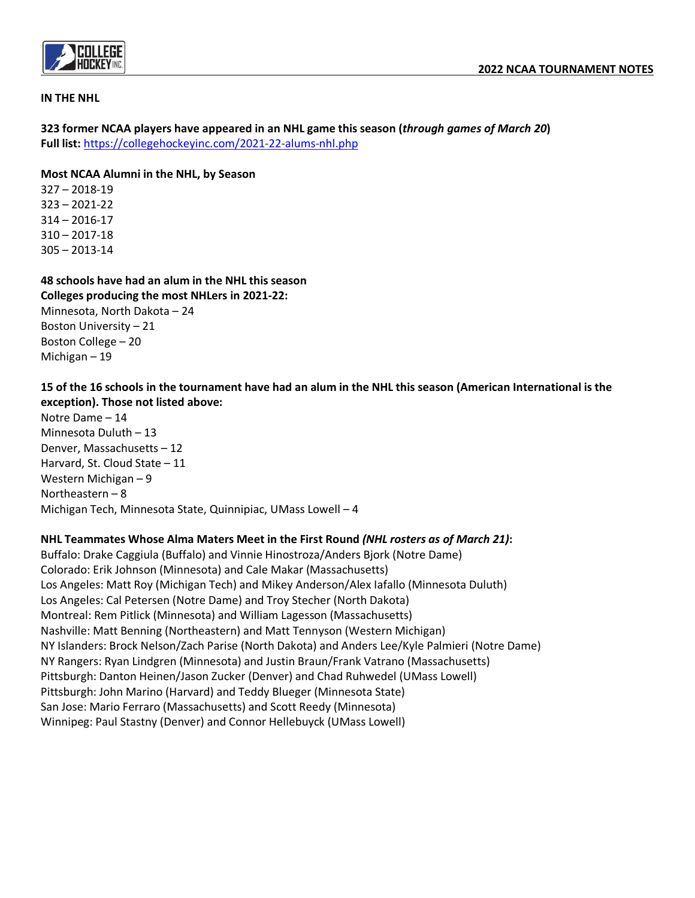

#### **IN THE NHL**

**323 former NCAA players have appeared in an NHL game this season (***through games of March 20***) Full list:** <https://collegehockeyinc.com/2021-22-alums-nhl.php>

#### **Most NCAA Alumni in the NHL, by Season**

327 – 2018-19 323 – 2021-22 314 – 2016-17 310 – 2017-18 305 – 2013-14

Michigan – 19

## **48 schools have had an alum in the NHL this season**

**Colleges producing the most NHLers in 2021-22:** Minnesota, North Dakota – 24 Boston University – 21 Boston College – 20

# **15 of the 16 schools in the tournament have had an alum in the NHL this season (American International is the exception). Those not listed above:**

Notre Dame – 14 Minnesota Duluth – 13 Denver, Massachusetts – 12 Harvard, St. Cloud State – 11 Western Michigan – 9 Northeastern – 8 Michigan Tech, Minnesota State, Quinnipiac, UMass Lowell – 4

## **NHL Teammates Whose Alma Maters Meet in the First Round** *(NHL rosters as of March 21)***:**

Buffalo: Drake Caggiula (Buffalo) and Vinnie Hinostroza/Anders Bjork (Notre Dame) Colorado: Erik Johnson (Minnesota) and Cale Makar (Massachusetts) Los Angeles: Matt Roy (Michigan Tech) and Mikey Anderson/Alex Iafallo (Minnesota Duluth) Los Angeles: Cal Petersen (Notre Dame) and Troy Stecher (North Dakota) Montreal: Rem Pitlick (Minnesota) and William Lagesson (Massachusetts) Nashville: Matt Benning (Northeastern) and Matt Tennyson (Western Michigan) NY Islanders: Brock Nelson/Zach Parise (North Dakota) and Anders Lee/Kyle Palmieri (Notre Dame) NY Rangers: Ryan Lindgren (Minnesota) and Justin Braun/Frank Vatrano (Massachusetts) Pittsburgh: Danton Heinen/Jason Zucker (Denver) and Chad Ruhwedel (UMass Lowell) Pittsburgh: John Marino (Harvard) and Teddy Blueger (Minnesota State) San Jose: Mario Ferraro (Massachusetts) and Scott Reedy (Minnesota) Winnipeg: Paul Stastny (Denver) and Connor Hellebuyck (UMass Lowell)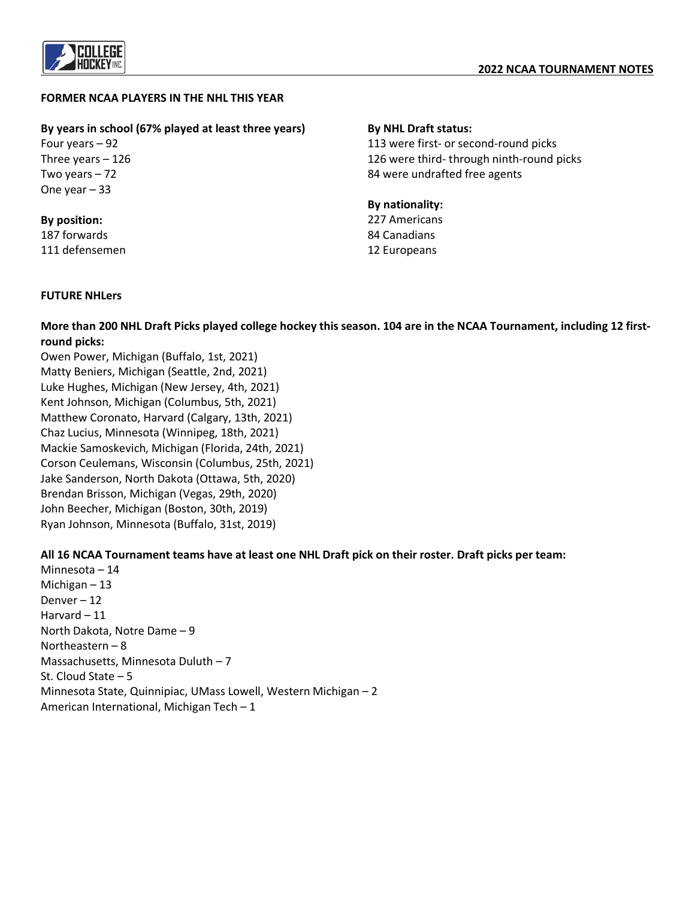

## **FORMER NCAA PLAYERS IN THE NHL THIS YEAR**

## **By years in school (67% played at least three years)**

Four years – 92 Three years – 126 Two years – 72 One year – 33

#### **By position:** 187 forwards

111 defensemen

## **By NHL Draft status:**

113 were first- or second-round picks 126 were third- through ninth-round picks 84 were undrafted free agents

#### **By nationality:** 227 Americans

84 Canadians 12 Europeans

## **FUTURE NHLers**

**More than 200 NHL Draft Picks played college hockey this season. 104 are in the NCAA Tournament, including 12 firstround picks:** 

Owen Power, Michigan (Buffalo, 1st, 2021) Matty Beniers, Michigan (Seattle, 2nd, 2021) Luke Hughes, Michigan (New Jersey, 4th, 2021) Kent Johnson, Michigan (Columbus, 5th, 2021) Matthew Coronato, Harvard (Calgary, 13th, 2021) Chaz Lucius, Minnesota (Winnipeg, 18th, 2021) Mackie Samoskevich, Michigan (Florida, 24th, 2021) Corson Ceulemans, Wisconsin (Columbus, 25th, 2021) Jake Sanderson, North Dakota (Ottawa, 5th, 2020) Brendan Brisson, Michigan (Vegas, 29th, 2020) John Beecher, Michigan (Boston, 30th, 2019) Ryan Johnson, Minnesota (Buffalo, 31st, 2019)

## **All 16 NCAA Tournament teams have at least one NHL Draft pick on their roster. Draft picks per team:**

Minnesota – 14 Michigan – 13 Denver – 12 Harvard – 11 North Dakota, Notre Dame – 9 Northeastern – 8 Massachusetts, Minnesota Duluth – 7 St. Cloud State – 5 Minnesota State, Quinnipiac, UMass Lowell, Western Michigan – 2 American International, Michigan Tech – 1